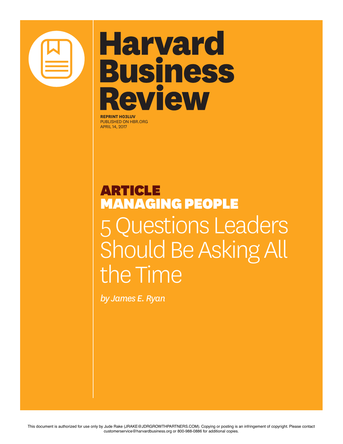

# **Harvard Business Review**

**REPRINT H03LUV** PUBLISHED ON HBR.ORG APRIL 14, 2017

# ARTICLE MANAGING PEOPLE 5 Questions Leaders Should Be Asking All the Time

*by James E. Ryan*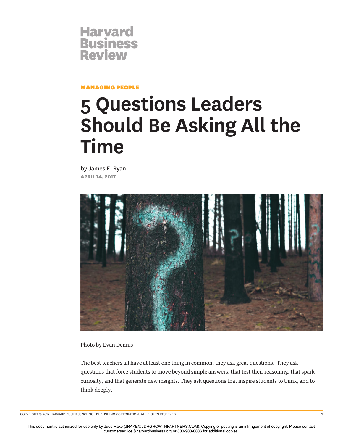

MANAGING PEOPLE

# **5 Questions Leaders Should Be Asking All the Time**

by James E. Ryan **APRIL 14, 2017**



Photo by Evan Dennis

The best teachers all have at least one thing in common: they ask great questions. They ask questions that force students to move beyond simple answers, that test their reasoning, that spark curiosity, and that generate new insights. They ask questions that inspire students to think, and to think deeply.

COPYRIGHT © 2017 HARVARD BUSINESS SCHOOL PUBLISHING CORPORATION. ALL RIGHTS RESERVED. 2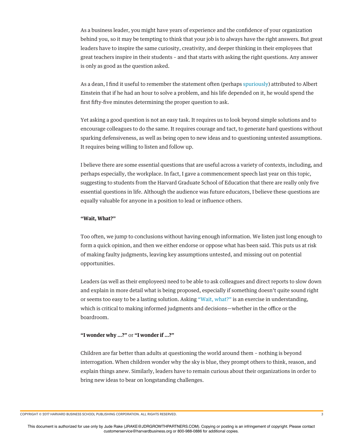As a business leader, you might have years of experience and the confdence of your organization behind you, so it may be tempting to think that your job is to always have the right answers. But great leaders have to inspire the same curiosity, creativity, and deeper thinking in their employees that great teachers inspire in their students – and that starts with asking the right questions. Any answer is only as good as the question asked.

As a dean, I fnd it useful to remember the statement often (perhaps spuriously) attributed to Albert Einstein that if he had an hour to solve a problem, and his life depended on it, he would spend the frst ffty-fve minutes determining the proper question to ask.

Yet asking a good question is not an easy task. It requires us to look beyond simple solutions and to encourage colleagues to do the same. It requires courage and tact, to generate hard questions without sparking defensiveness, as well as being open to new ideas and to questioning untested assumptions. It requires being willing to listen and follow up.

I believe there are some essential questions that are useful across a variety of contexts, including, and perhaps especially, the workplace. In fact, I gave a commencement speech last year on this topic, suggesting to students from the Harvard Graduate School of Education that there are really only fve essential questions in life. Although the audience was future educators, I believe these questions are equally valuable for anyone in a position to lead or infuence others.

#### **"Wait, What?"**

Too often, we jump to conclusions without having enough information. We listen just long enough to form a quick opinion, and then we either endorse or oppose what has been said. This puts us at risk of making faulty judgments, leaving key assumptions untested, and missing out on potential opportunities.

Leaders (as well as their employees) need to be able to ask colleagues and direct reports to slow down and explain in more detail what is being proposed, especially if something doesn't quite sound right or seems too easy to be a lasting solution. Asking "Wait, what?" is an exercise in understanding, which is critical to making informed judgments and decisions—whether in the office or the boardroom.

#### **"I wonder why …?"** or **"I wonder if …?"**

Children are far better than adults at questioning the world around them – nothing is beyond interrogation. When children wonder why the sky is blue, they prompt others to think, reason, and explain things anew. Similarly, leaders have to remain curious about their organizations in order to bring new ideas to bear on longstanding challenges.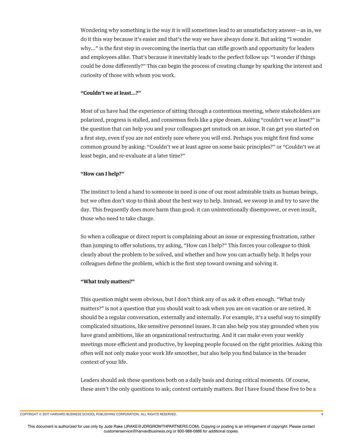Wondering why something is the way it is will sometimes lead to an unsatisfactory answer—as in, we do it this way because it's easier and that's the way we have always done it. But asking "I wonder why…" is the frst step in overcoming the inertia that can stife growth and opportunity for leaders and employees alike. That's because it inevitably leads to the perfect follow up: "I wonder if things could be done diferently?" This can begin the process of creating change by sparking the interest and curiosity of those with whom you work.

## **"Couldn't we at least…?"**

Most of us have had the experience of sitting through a contentious meeting, where stakeholders are polarized, progress is stalled, and consensus feels like a pipe dream. Asking "couldn't we at least?" is the question that can help you and your colleagues get unstuck on an issue. It can get you started on a frst step, even if you are not entirely sure where you will end. Perhaps you might frst fnd some common ground by asking: "Couldn't we at least agree on some basic principles?" or "Couldn't we at least begin, and re-evaluate at a later time?"

## **"How can I help?"**

The instinct to lend a hand to someone in need is one of our most admirable traits as human beings, but we often don't stop to think about the best way to help. Instead, we swoop in and try to save the day. This frequently does more harm than good: it can unintentionally disempower, or even insult, those who need to take charge.

So when a colleague or direct report is complaining about an issue or expressing frustration, rather than jumping to ofer solutions, try asking, "How can I help?" This forces your colleague to think clearly about the problem to be solved, and whether and how you can actually help. It helps your colleagues defne the problem, which is the frst step toward owning and solving it.

## **"What truly matters?"**

This question might seem obvious, but I don't think any of us ask it often enough. "What truly matters?" is not a question that you should wait to ask when you are on vacation or are retired. It should be a regular conversation, externally and internally. For example, it's a useful way to simplify complicated situations, like sensitive personnel issues. It can also help you stay grounded when you have grand ambitions, like an organizational restructuring. And it can make even your weekly meetings more efficient and productive, by keeping people focused on the right priorities. Asking this often will not only make your work life smoother, but also help you fnd balance in the broader context of your life.

Leaders should ask these questions both on a daily basis and during critical moments. Of course, these aren't the only questions to ask; context certainly matters. But I have found these fve to be a

COPYRIGHT © 2017 HARVARD BUSINESS SCHOOL PUBLISHING CORPORATION. ALL RIGHTS RESERVED. 4